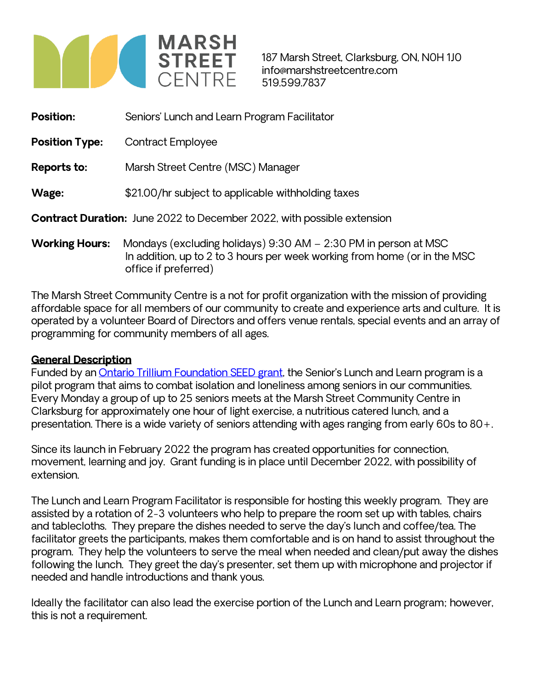

office if preferred)

187 Marsh Street, Clarksburg, ON, N0H 1J0 info@marshstreetcentre.com 519.599.7837

| <b>Position:</b>                                                              | Seniors' Lunch and Learn Program Facilitator                                                                                                 |
|-------------------------------------------------------------------------------|----------------------------------------------------------------------------------------------------------------------------------------------|
| <b>Position Type:</b>                                                         | <b>Contract Employee</b>                                                                                                                     |
| <b>Reports to:</b>                                                            | Marsh Street Centre (MSC) Manager                                                                                                            |
| Wage:                                                                         | \$21.00/hr subject to applicable withholding taxes                                                                                           |
| <b>Contract Duration:</b> June 2022 to December 2022, with possible extension |                                                                                                                                              |
| <b>Working Hours:</b>                                                         | Mondays (excluding holidays) 9:30 AM - 2:30 PM in person at MSC<br>In addition, up to 2 to 3 hours per week working from home (or in the MSC |

The Marsh Street Community Centre is a not for profit organization with the mission of providing affordable space for all members of our community to create and experience arts and culture. It is operated by a volunteer Board of Directors and offers venue rentals, special events and an array of programming for community members of all ages.

#### **General Description**

Funded by an [Ontario Trillium Foundation SEED grant](https://www.otf.ca/our-grants/community-investments-grants/seed-grant), the Senior's Lunch and Learn program is a pilot program that aims to combat isolation and loneliness among seniors in our communities. Every Monday a group of up to 25 seniors meets at the Marsh Street Community Centre in Clarksburg for approximately one hour of light exercise, a nutritious catered lunch, and a presentation. There is a wide variety of seniors attending with ages ranging from early 60s to 80+.

Since its launch in February 2022 the program has created opportunities for connection, movement, learning and joy. Grant funding is in place until December 2022, with possibility of extension.

The Lunch and Learn Program Facilitator is responsible for hosting this weekly program. They are assisted by a rotation of 2-3 volunteers who help to prepare the room set up with tables, chairs and tablecloths. They prepare the dishes needed to serve the day's lunch and coffee/tea. The facilitator greets the participants, makes them comfortable and is on hand to assist throughout the program. They help the volunteers to serve the meal when needed and clean/put away the dishes following the lunch. They greet the day's presenter, set them up with microphone and projector if needed and handle introductions and thank yous.

Ideally the facilitator can also lead the exercise portion of the Lunch and Learn program; however, this is not a requirement.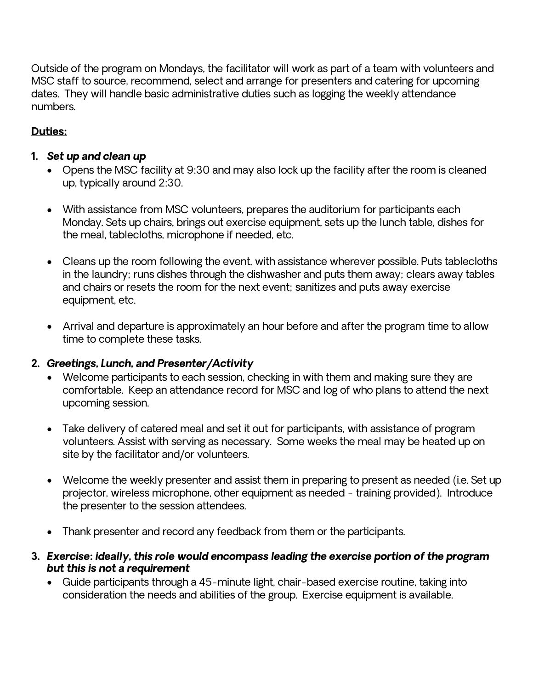Outside of the program on Mondays, the facilitator will work as part of a team with volunteers and MSC staff to source, recommend, select and arrange for presenters and catering for upcoming dates. They will handle basic administrative duties such as logging the weekly attendance numbers.

# **Duties:**

# *1. Set up and clean up*

- Opens the MSC facility at 9:30 and may also lock up the facility after the room is cleaned up, typically around 2:30.
- With assistance from MSC volunteers, prepares the auditorium for participants each Monday. Sets up chairs, brings out exercise equipment, sets up the lunch table, dishes for the meal, tablecloths, microphone if needed, etc.
- Cleans up the room following the event, with assistance wherever possible. Puts tablecloths in the laundry; runs dishes through the dishwasher and puts them away; clears away tables and chairs or resets the room for the next event; sanitizes and puts away exercise equipment, etc.
- Arrival and departure is approximately an hour before and after the program time to allow time to complete these tasks.

# *2. Greetings, Lunch, and Presenter/Activity*

- Welcome participants to each session, checking in with them and making sure they are comfortable. Keep an attendance record for MSC and log of who plans to attend the next upcoming session.
- Take delivery of catered meal and set it out for participants, with assistance of program volunteers. Assist with serving as necessary. Some weeks the meal may be heated up on site by the facilitator and/or volunteers.
- Welcome the weekly presenter and assist them in preparing to present as needed (i.e. Set up projector, wireless microphone, other equipment as needed - training provided). Introduce the presenter to the session attendees.
- Thank presenter and record any feedback from them or the participants.
- *3. Exercise: ideally, this role would encompass leading the exercise portion of the program but this is not a requirement*
	- Guide participants through a 45-minute light, chair-based exercise routine, taking into consideration the needs and abilities of the group. Exercise equipment is available.